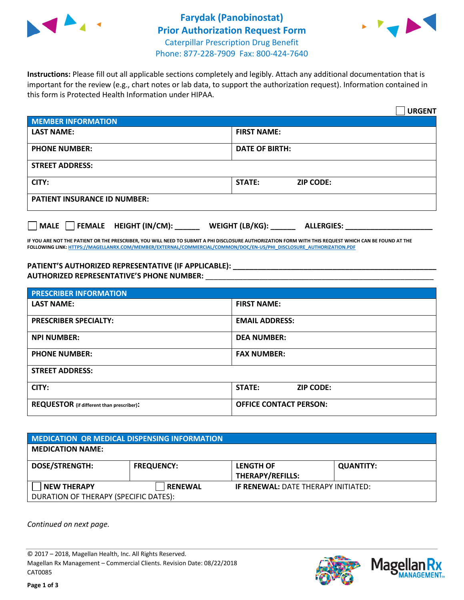



**Instructions:** Please fill out all applicable sections completely and legibly. Attach any additional documentation that is important for the review (e.g., chart notes or lab data, to support the authorization request). Information contained in this form is Protected Health Information under HIPAA.

|                                       | <b>URGENT</b>                        |  |  |  |
|---------------------------------------|--------------------------------------|--|--|--|
| <b>MEMBER INFORMATION</b>             |                                      |  |  |  |
| <b>LAST NAME:</b>                     | <b>FIRST NAME:</b>                   |  |  |  |
| <b>PHONE NUMBER:</b>                  | <b>DATE OF BIRTH:</b>                |  |  |  |
| <b>STREET ADDRESS:</b>                |                                      |  |  |  |
| CITY:                                 | <b>ZIP CODE:</b><br>STATE:           |  |  |  |
| <b>PATIENT INSURANCE ID NUMBER:</b>   |                                      |  |  |  |
| FEMALE HEIGHT (IN/CM):<br><b>MALE</b> | WEIGHT (LB/KG):<br><b>ALLERGIES:</b> |  |  |  |

**IF YOU ARE NOT THE PATIENT OR THE PRESCRIBER, YOU WILL NEED TO SUBMIT A PHI DISCLOSURE AUTHORIZATION FORM WITH THIS REQUEST WHICH CAN BE FOUND AT THE FOLLOWING LINK[: HTTPS://MAGELLANRX.COM/MEMBER/EXTERNAL/COMMERCIAL/COMMON/DOC/EN-US/PHI\\_DISCLOSURE\\_AUTHORIZATION.PDF](https://magellanrx.com/member/external/commercial/common/doc/en-us/PHI_Disclosure_Authorization.pdf)**

**PATIENT'S AUTHORIZED REPRESENTATIVE (IF APPLICABLE): \_\_\_\_\_\_\_\_\_\_\_\_\_\_\_\_\_\_\_\_\_\_\_\_\_\_\_\_\_\_\_\_\_\_\_\_\_\_\_\_\_\_\_\_\_\_\_\_\_ AUTHORIZED REPRESENTATIVE'S PHONE NUMBER:** \_\_\_\_\_\_\_\_\_\_\_\_\_\_\_\_\_\_\_\_\_\_\_\_\_\_\_\_\_\_\_\_\_\_\_\_\_\_\_\_\_\_\_\_\_\_\_\_\_\_\_\_\_\_\_

| <b>PRESCRIBER INFORMATION</b>             |                               |  |  |  |
|-------------------------------------------|-------------------------------|--|--|--|
| <b>LAST NAME:</b>                         | <b>FIRST NAME:</b>            |  |  |  |
| <b>PRESCRIBER SPECIALTY:</b>              | <b>EMAIL ADDRESS:</b>         |  |  |  |
| <b>NPI NUMBER:</b>                        | <b>DEA NUMBER:</b>            |  |  |  |
| <b>PHONE NUMBER:</b>                      | <b>FAX NUMBER:</b>            |  |  |  |
| <b>STREET ADDRESS:</b>                    |                               |  |  |  |
| CITY:                                     | STATE:<br><b>ZIP CODE:</b>    |  |  |  |
| REQUESTOR (if different than prescriber): | <b>OFFICE CONTACT PERSON:</b> |  |  |  |

| <b>MEDICATION OR MEDICAL DISPENSING INFORMATION</b> |                   |                                            |                  |  |  |
|-----------------------------------------------------|-------------------|--------------------------------------------|------------------|--|--|
| <b>MEDICATION NAME:</b>                             |                   |                                            |                  |  |  |
| <b>DOSE/STRENGTH:</b>                               | <b>FREQUENCY:</b> | <b>LENGTH OF</b>                           | <b>QUANTITY:</b> |  |  |
|                                                     |                   | <b>THERAPY/REFILLS:</b>                    |                  |  |  |
| <b>NEW THERAPY</b>                                  | <b>RENEWAL</b>    | <b>IF RENEWAL: DATE THERAPY INITIATED:</b> |                  |  |  |
| DURATION OF THERAPY (SPECIFIC DATES):               |                   |                                            |                  |  |  |

*Continued on next page.*

© 2017 – 2018, Magellan Health, Inc. All Rights Reserved. Magellan Rx Management – Commercial Clients. Revision Date: 08/22/2018 CAT0085



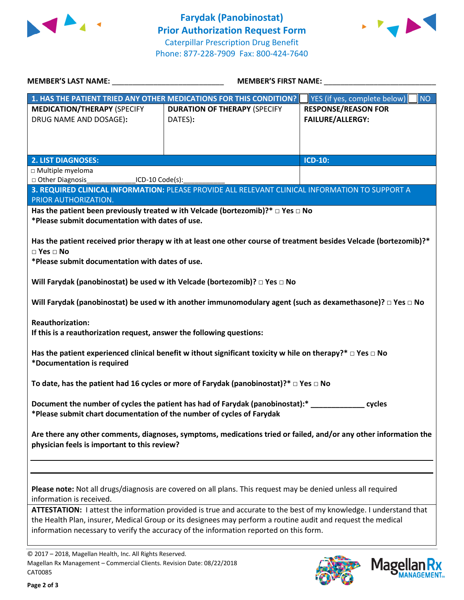



| <b>MEMBER'S LAST NAME:</b>                                                                                                                                                 | <b>MEMBER'S FIRST NAME:</b>                                                                                                                                                                                                                                                                                                  |                                                       |  |  |
|----------------------------------------------------------------------------------------------------------------------------------------------------------------------------|------------------------------------------------------------------------------------------------------------------------------------------------------------------------------------------------------------------------------------------------------------------------------------------------------------------------------|-------------------------------------------------------|--|--|
|                                                                                                                                                                            | 1. HAS THE PATIENT TRIED ANY OTHER MEDICATIONS FOR THIS CONDITION?                                                                                                                                                                                                                                                           | NO<br>YES (if yes, complete below)                    |  |  |
| <b>MEDICATION/THERAPY (SPECIFY</b><br>DRUG NAME AND DOSAGE):                                                                                                               | <b>DURATION OF THERAPY (SPECIFY</b><br>DATES):                                                                                                                                                                                                                                                                               | <b>RESPONSE/REASON FOR</b><br><b>FAILURE/ALLERGY:</b> |  |  |
| <b>2. LIST DIAGNOSES:</b>                                                                                                                                                  |                                                                                                                                                                                                                                                                                                                              | <b>ICD-10:</b>                                        |  |  |
| □ Multiple myeloma                                                                                                                                                         |                                                                                                                                                                                                                                                                                                                              |                                                       |  |  |
| □ Other Diagnosis<br>ICD-10 Code(s):                                                                                                                                       |                                                                                                                                                                                                                                                                                                                              |                                                       |  |  |
| PRIOR AUTHORIZATION.                                                                                                                                                       | 3. REQUIRED CLINICAL INFORMATION: PLEASE PROVIDE ALL RELEVANT CLINICAL INFORMATION TO SUPPORT A                                                                                                                                                                                                                              |                                                       |  |  |
|                                                                                                                                                                            | Has the patient been previously treated w ith Velcade (bortezomib)?* $\Box$ Yes $\Box$ No                                                                                                                                                                                                                                    |                                                       |  |  |
| *Please submit documentation with dates of use.                                                                                                                            |                                                                                                                                                                                                                                                                                                                              |                                                       |  |  |
| $\square$ Yes $\square$ No<br>*Please submit documentation with dates of use.                                                                                              | Has the patient received prior therapy w ith at least one other course of treatment besides Velcade (bortezomib)?*                                                                                                                                                                                                           |                                                       |  |  |
| Will Farydak (panobinostat) be used w ith Velcade (bortezomib)? $\Box$ Yes $\Box$ No                                                                                       |                                                                                                                                                                                                                                                                                                                              |                                                       |  |  |
|                                                                                                                                                                            | Will Farydak (panobinostat) be used w ith another immunomodulary agent (such as dexamethasone)? $\Box$ Yes $\Box$ No                                                                                                                                                                                                         |                                                       |  |  |
| <b>Reauthorization:</b><br>If this is a reauthorization request, answer the following questions:                                                                           |                                                                                                                                                                                                                                                                                                                              |                                                       |  |  |
| Has the patient experienced clinical benefit w ithout significant toxicity w hile on therapy?* $\Box$ Yes $\Box$ No<br>*Documentation is required                          |                                                                                                                                                                                                                                                                                                                              |                                                       |  |  |
| To date, has the patient had 16 cycles or more of Farydak (panobinostat)?* $\Box$ Yes $\Box$ No                                                                            |                                                                                                                                                                                                                                                                                                                              |                                                       |  |  |
| Document the number of cycles the patient has had of Farydak (panobinostat):* _________<br>cycles<br>*Please submit chart documentation of the number of cycles of Farydak |                                                                                                                                                                                                                                                                                                                              |                                                       |  |  |
| Are there any other comments, diagnoses, symptoms, medications tried or failed, and/or any other information the<br>physician feels is important to this review?           |                                                                                                                                                                                                                                                                                                                              |                                                       |  |  |
|                                                                                                                                                                            |                                                                                                                                                                                                                                                                                                                              |                                                       |  |  |
| information is received.                                                                                                                                                   | Please note: Not all drugs/diagnosis are covered on all plans. This request may be denied unless all required                                                                                                                                                                                                                |                                                       |  |  |
|                                                                                                                                                                            | ATTESTATION: I attest the information provided is true and accurate to the best of my knowledge. I understand that<br>the Health Plan, insurer, Medical Group or its designees may perform a routine audit and request the medical<br>information necessary to verify the accuracy of the information reported on this form. |                                                       |  |  |





<sup>© 2017</sup> – 2018, Magellan Health, Inc. All Rights Reserved. Magellan Rx Management – Commercial Clients. Revision Date: 08/22/2018 CAT0085